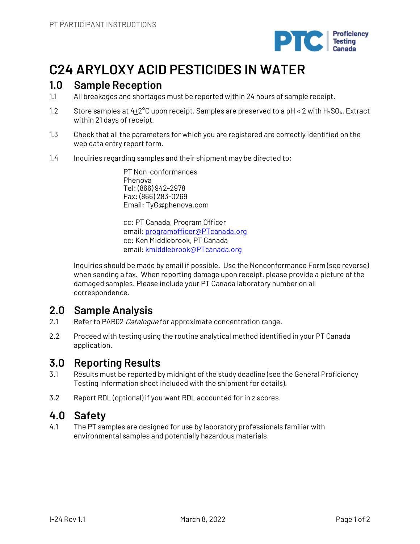

# **C24 ARYLOXY ACID PESTICIDES IN WATER**

# **1.0 Sample Reception**

- 1.1 All breakages and shortages must be reported within 24 hours of sample receipt.
- 1.2 Store samples at  $4\pm2^{\circ}$ C upon receipt. Samples are preserved to a pH < 2 with H<sub>2</sub>SO<sub>4</sub>. Extract within 21 days of receipt.
- 1.3 Check that all the parameters for which you are registered are correctly identified on the web data entry report form.
- 1.4 Inquiries regarding samples and their shipment may be directed to:

PT Non-conformances Phenova Tel: (866) 942-2978 Fax: (866) 283-0269 Email: TyG@phenova.com

cc: PT Canada, Program Officer email: programofficer@PTcanada.org cc: Ken Middlebrook, PT Canada email: kmiddlebrook@PTcanada.org

Inquiries should be made by email if possible. Use the Nonconformance Form (see reverse) when sending a fax. When reporting damage upon receipt, please provide a picture of the damaged samples. Please include your PT Canada laboratory number on all correspondence.

# **2.0 Sample Analysis**

- 2.1 Refer to PAR02 Catalogue for approximate concentration range.
- 2.2 Proceed with testing using the routine analytical method identified in your PT Canada application.

## **3.0 Reporting Results**

- 3.1 Results must be reported by midnight of the study deadline (see the General Proficiency Testing Information sheet included with the shipment for details).
- 3.2 Report RDL (optional) if you want RDL accounted for in z scores.

## **4.0 Safety**

4.1 The PT samples are designed for use by laboratory professionals familiar with environmental samples and potentially hazardous materials.